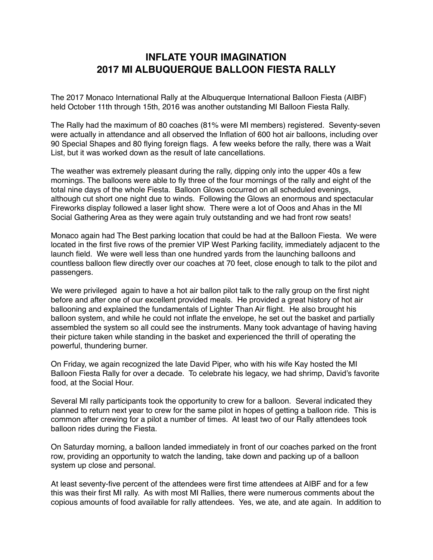## **INFLATE YOUR IMAGINATION 2017 MI ALBUQUERQUE BALLOON FIESTA RALLY**

The 2017 Monaco International Rally at the Albuquerque International Balloon Fiesta (AIBF) held October 11th through 15th, 2016 was another outstanding MI Balloon Fiesta Rally.

The Rally had the maximum of 80 coaches (81% were MI members) registered. Seventy-seven were actually in attendance and all observed the Inflation of 600 hot air balloons, including over 90 Special Shapes and 80 flying foreign flags. A few weeks before the rally, there was a Wait List, but it was worked down as the result of late cancellations.

The weather was extremely pleasant during the rally, dipping only into the upper 40s a few mornings. The balloons were able to fly three of the four mornings of the rally and eight of the total nine days of the whole Fiesta. Balloon Glows occurred on all scheduled evenings, although cut short one night due to winds. Following the Glows an enormous and spectacular Fireworks display followed a laser light show. There were a lot of Ooos and Ahas in the MI Social Gathering Area as they were again truly outstanding and we had front row seats!

Monaco again had The Best parking location that could be had at the Balloon Fiesta. We were located in the first five rows of the premier VIP West Parking facility, immediately adjacent to the launch field. We were well less than one hundred yards from the launching balloons and countless balloon flew directly over our coaches at 70 feet, close enough to talk to the pilot and passengers.

We were privileged again to have a hot air ballon pilot talk to the rally group on the first night before and after one of our excellent provided meals. He provided a great history of hot air ballooning and explained the fundamentals of Lighter Than Air flight. He also brought his balloon system, and while he could not inflate the envelope, he set out the basket and partially assembled the system so all could see the instruments. Many took advantage of having having their picture taken while standing in the basket and experienced the thrill of operating the powerful, thundering burner.

On Friday, we again recognized the late David Piper, who with his wife Kay hosted the MI Balloon Fiesta Rally for over a decade. To celebrate his legacy, we had shrimp, David's favorite food, at the Social Hour.

Several MI rally participants took the opportunity to crew for a balloon. Several indicated they planned to return next year to crew for the same pilot in hopes of getting a balloon ride. This is common after crewing for a pilot a number of times. At least two of our Rally attendees took balloon rides during the Fiesta.

On Saturday morning, a balloon landed immediately in front of our coaches parked on the front row, providing an opportunity to watch the landing, take down and packing up of a balloon system up close and personal.

At least seventy-five percent of the attendees were first time attendees at AIBF and for a few this was their first MI rally. As with most MI Rallies, there were numerous comments about the copious amounts of food available for rally attendees. Yes, we ate, and ate again. In addition to